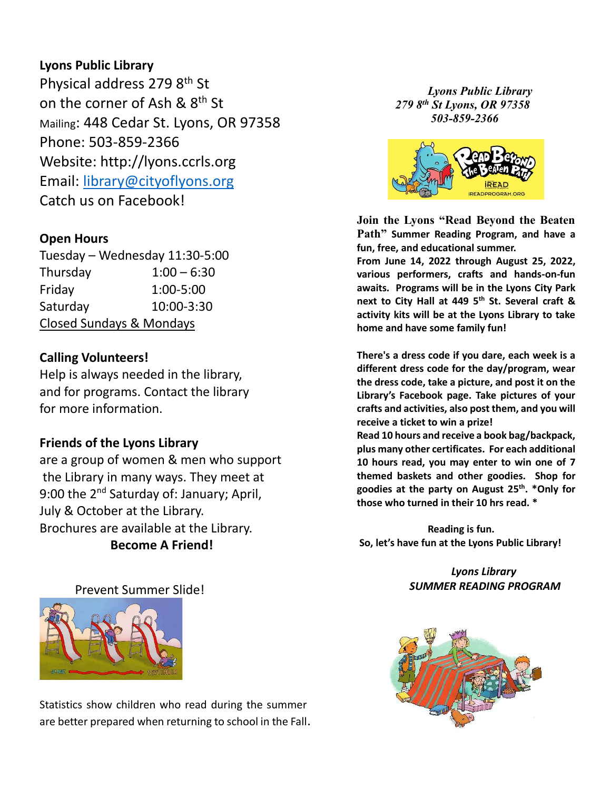### **Lyons Public Library**

Physical address 279 8th St on the corner of Ash & 8<sup>th</sup> St Mailing: 448 Cedar St. Lyons, OR 97358 Phone: 503-859-2366 Website: [http://lyons.ccrls.org](http://lyons.ccrls.org/) Email: [library@cityoflyons.org](mailto:library@cityoflyons.org) Catch us on Facebook!

### **Open Hours**

Tuesday – Wednesday 11:30-5:00 Thursday 1:00 – 6:30 Friday 1:00-5:00 Saturday 10:00-3:30 Closed Sundays & Mondays

## **Calling Volunteers!**

Help is always needed in the library, and for programs. Contact the library for more information.

### **Friends of the Lyons Library**

are a group of women & men who support the Library in many ways. They meet at 9:00 the 2<sup>nd</sup> Saturday of: January; April, July & October at the Library. Brochures are available at the Library. **Become A Friend!**

Prevent Summer Slide!



Statistics show children who read during the summer are better prepared when returning to school in the Fall.

*Lyons Public Library 279 8th St Lyons, OR 97358 503-859-2366*



**Join the Lyons "Read Beyond the Beaten Path" Summer Reading Program, and have a fun, free, and educational summer.**

**From June 14, 2022 through August 25, 2022, various performers, crafts and hands-on-fun awaits. Programs will be in the Lyons City Park next to City Hall at 449 5th St. Several craft & activity kits will be at the Lyons Library to take home and have some family fun!**

**There's a dress code if you dare, each week is a different dress code for the day/program, wear the dress code, take a picture, and post it on the Library's Facebook page. Take pictures of your crafts and activities, also post them, and you will receive a ticket to win a prize! Read 10 hours and receive a book bag/backpack, plus many other certificates. For each additional 10 hours read, you may enter to win one of 7 themed baskets and other goodies. Shop for goodies at the party on August 25th . \*Only for those who turned in their 10 hrs read. \***

**Reading is fun. So, let's have fun at the Lyons Public Library!**

> *Lyons Library SUMMER READING PROGRAM*